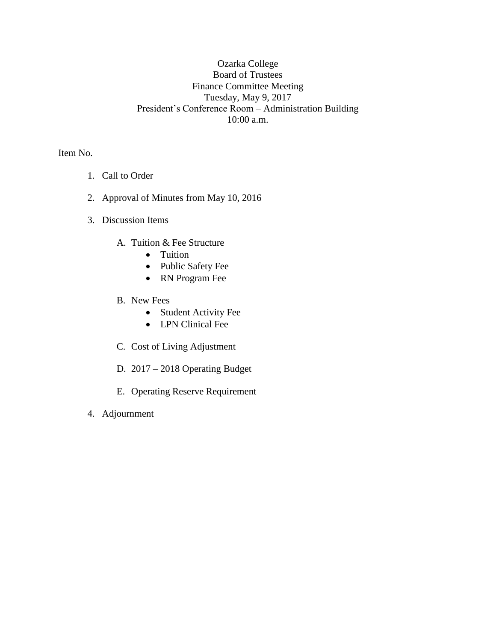## Ozarka College Board of Trustees Finance Committee Meeting Tuesday, May 9, 2017 President's Conference Room – Administration Building 10:00 a.m.

Item No.

- 1. Call to Order
- 2. Approval of Minutes from May 10, 2016
- 3. Discussion Items
	- A. Tuition & Fee Structure
		- Tuition
		- Public Safety Fee
		- RN Program Fee
	- B. New Fees
		- Student Activity Fee
		- LPN Clinical Fee
	- C. Cost of Living Adjustment
	- D. 2017 2018 Operating Budget
	- E. Operating Reserve Requirement
- 4. Adjournment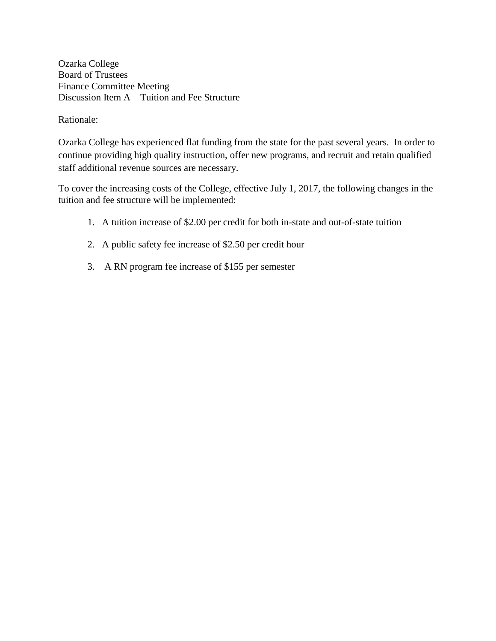Ozarka College Board of Trustees Finance Committee Meeting Discussion Item A – Tuition and Fee Structure

Rationale:

Ozarka College has experienced flat funding from the state for the past several years. In order to continue providing high quality instruction, offer new programs, and recruit and retain qualified staff additional revenue sources are necessary.

To cover the increasing costs of the College, effective July 1, 2017, the following changes in the tuition and fee structure will be implemented:

- 1. A tuition increase of \$2.00 per credit for both in-state and out-of-state tuition
- 2. A public safety fee increase of \$2.50 per credit hour
- 3. A RN program fee increase of \$155 per semester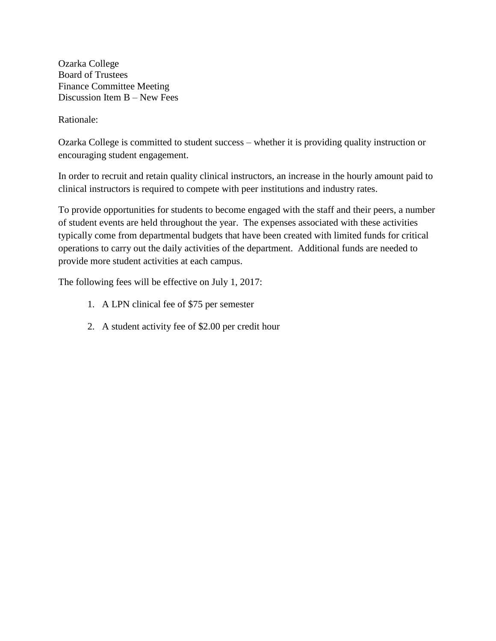Ozarka College Board of Trustees Finance Committee Meeting Discussion Item B – New Fees

Rationale:

Ozarka College is committed to student success – whether it is providing quality instruction or encouraging student engagement.

In order to recruit and retain quality clinical instructors, an increase in the hourly amount paid to clinical instructors is required to compete with peer institutions and industry rates.

To provide opportunities for students to become engaged with the staff and their peers, a number of student events are held throughout the year. The expenses associated with these activities typically come from departmental budgets that have been created with limited funds for critical operations to carry out the daily activities of the department. Additional funds are needed to provide more student activities at each campus.

The following fees will be effective on July 1, 2017:

- 1. A LPN clinical fee of \$75 per semester
- 2. A student activity fee of \$2.00 per credit hour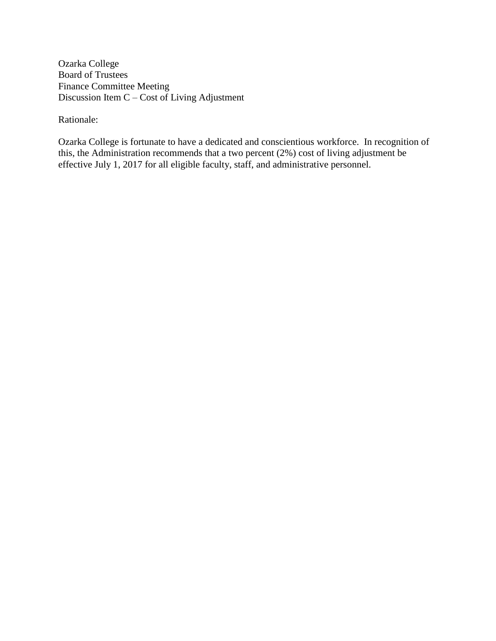Ozarka College Board of Trustees Finance Committee Meeting Discussion Item C – Cost of Living Adjustment

Rationale:

Ozarka College is fortunate to have a dedicated and conscientious workforce. In recognition of this, the Administration recommends that a two percent (2%) cost of living adjustment be effective July 1, 2017 for all eligible faculty, staff, and administrative personnel.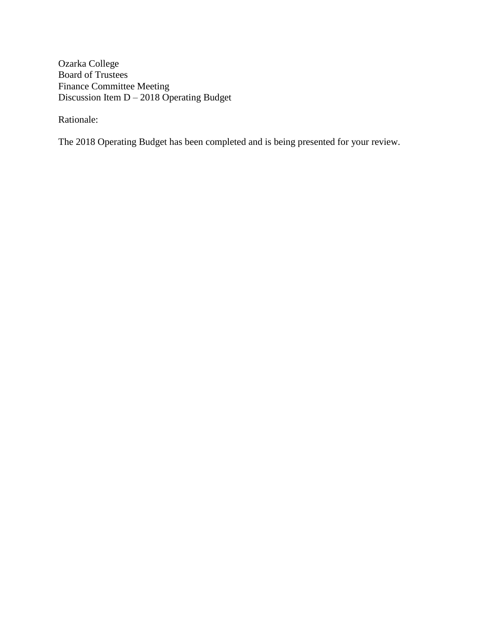Ozarka College Board of Trustees Finance Committee Meeting Discussion Item D – 2018 Operating Budget

Rationale:

The 2018 Operating Budget has been completed and is being presented for your review.